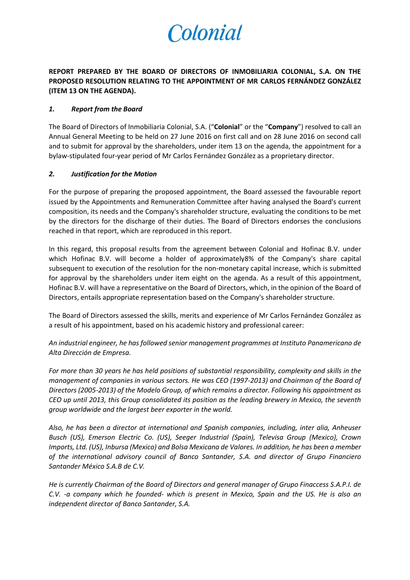

## **REPORT PREPARED BY THE BOARD OF DIRECTORS OF INMOBILIARIA COLONIAL, S.A. ON THE PROPOSED RESOLUTION RELATING TO THE APPOINTMENT OF MR CARLOS FERNÁNDEZ GONZÁLEZ (ITEM 13 ON THE AGENDA).**

## *1. Report from the Board*

The Board of Directors of Inmobiliaria Colonial, S.A. ("**Colonial**" or the "**Company**") resolved to call an Annual General Meeting to be held on 27 June 2016 on first call and on 28 June 2016 on second call and to submit for approval by the shareholders, under item 13 on the agenda, the appointment for a bylaw-stipulated four-year period of Mr Carlos Fernández González as a proprietary director.

## *2. Justification for the Motion*

For the purpose of preparing the proposed appointment, the Board assessed the favourable report issued by the Appointments and Remuneration Committee after having analysed the Board's current composition, its needs and the Company's shareholder structure, evaluating the conditions to be met by the directors for the discharge of their duties. The Board of Directors endorses the conclusions reached in that report, which are reproduced in this report.

In this regard, this proposal results from the agreement between Colonial and Hofinac B.V. under which Hofinac B.V. will become a holder of approximately8% of the Company's share capital subsequent to execution of the resolution for the non-monetary capital increase, which is submitted for approval by the shareholders under item eight on the agenda. As a result of this appointment, Hofinac B.V. will have a representative on the Board of Directors, which, in the opinion of the Board of Directors, entails appropriate representation based on the Company's shareholder structure.

The Board of Directors assessed the skills, merits and experience of Mr Carlos Fernández González as a result of his appointment, based on his academic history and professional career:

*An industrial engineer, he has followed senior management programmes at Instituto Panamericano de Alta Dirección de Empresa.*

*For more than 30 years he has held positions of substantial responsibility, complexity and skills in the management of companies in various sectors. He was CEO (1997-2013) and Chairman of the Board of Directors (2005-2013) of the Modelo Group, of which remains a director. Following his appointment as CEO up until 2013, this Group consolidated its position as the leading brewery in Mexico, the seventh group worldwide and the largest beer exporter in the world.* 

*Also, he has been a director at international and Spanish companies, including, inter alia, Anheuser Busch (US), Emerson Electric Co. (US), Seeger Industrial (Spain), Televisa Group (Mexico), Crown Imports, Ltd. (US), Inbursa (Mexico) and Bolsa Mexicana de Valores. In addition, he has been a member of the international advisory council of Banco Santander, S.A. and director of Grupo Financiero Santander México S.A.B de C.V.* 

*He is currently Chairman of the Board of Directors and general manager of Grupo Finaccess S.A.P.I. de C.V. -a company which he founded- which is present in Mexico, Spain and the US. He is also an independent director of Banco Santander, S.A.*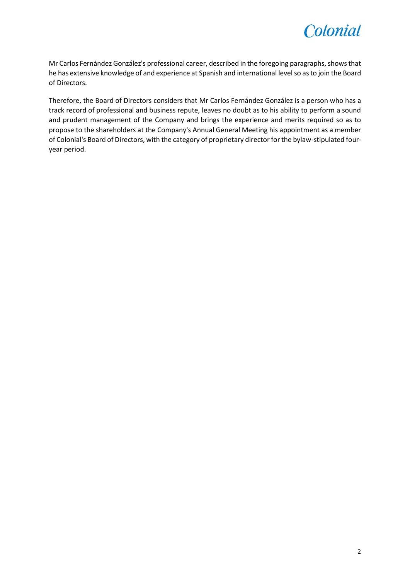

Mr Carlos Fernández González's professional career, described in the foregoing paragraphs, shows that he has extensive knowledge of and experience at Spanish and international level so as to join the Board of Directors.

Therefore, the Board of Directors considers that Mr Carlos Fernández González is a person who has a track record of professional and business repute, leaves no doubt as to his ability to perform a sound and prudent management of the Company and brings the experience and merits required so as to propose to the shareholders at the Company's Annual General Meeting his appointment as a member of Colonial's Board of Directors, with the category of proprietary director for the bylaw-stipulated fouryear period.